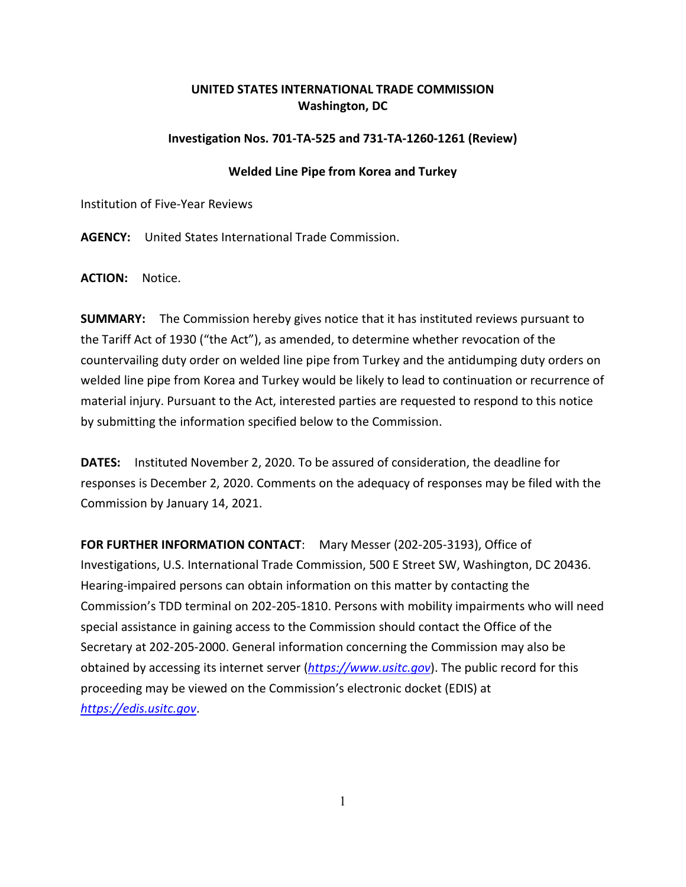## **UNITED STATES INTERNATIONAL TRADE COMMISSION Washington, DC**

## **Investigation Nos. 701-TA-525 and 731-TA-1260-1261 (Review)**

## **Welded Line Pipe from Korea and Turkey**

Institution of Five-Year Reviews

**AGENCY:** United States International Trade Commission.

**ACTION:** Notice.

**SUMMARY:** The Commission hereby gives notice that it has instituted reviews pursuant to the Tariff Act of 1930 ("the Act"), as amended, to determine whether revocation of the countervailing duty order on welded line pipe from Turkey and the antidumping duty orders on welded line pipe from Korea and Turkey would be likely to lead to continuation or recurrence of material injury. Pursuant to the Act, interested parties are requested to respond to this notice by submitting the information specified below to the Commission.

**DATES:** Instituted November 2, 2020. To be assured of consideration, the deadline for responses is December 2, 2020. Comments on the adequacy of responses may be filed with the Commission by January 14, 2021.

**FOR FURTHER INFORMATION CONTACT**: Mary Messer (202-205-3193), Office of Investigations, U.S. International Trade Commission, 500 E Street SW, Washington, DC 20436. Hearing-impaired persons can obtain information on this matter by contacting the Commission's TDD terminal on 202-205-1810. Persons with mobility impairments who will need special assistance in gaining access to the Commission should contact the Office of the Secretary at 202-205-2000. General information concerning the Commission may also be obtained by accessing its internet server (*[https://www.usitc.gov](https://www.usitc.gov/)*). The public record for this proceeding may be viewed on the Commission's electronic docket (EDIS) at *[https://edis.usitc.gov](https://edis.usitc.gov/)*.

1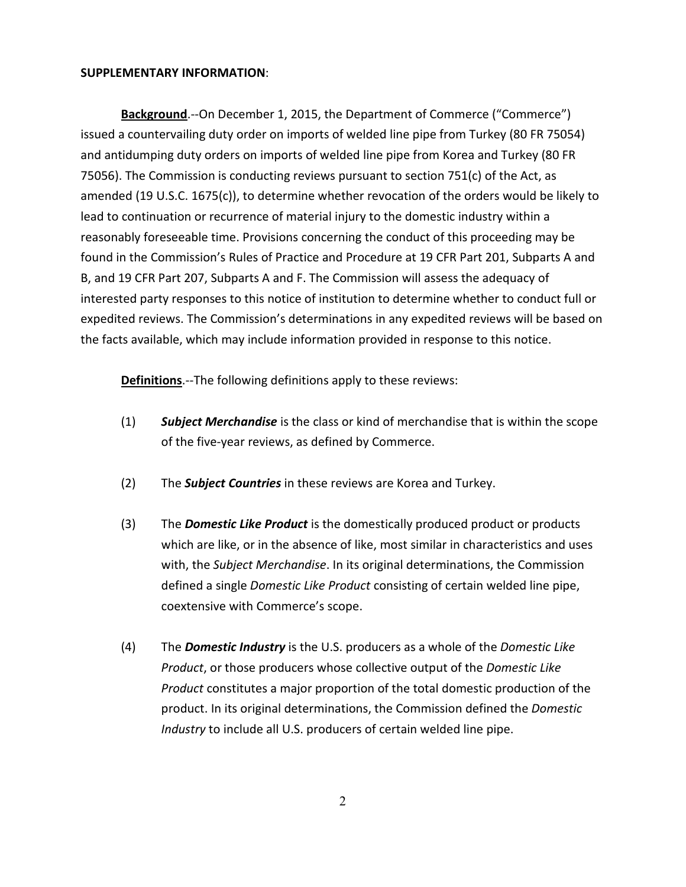## **SUPPLEMENTARY INFORMATION**:

**Background**.--On December 1, 2015, the Department of Commerce ("Commerce") issued a countervailing duty order on imports of welded line pipe from Turkey (80 FR 75054) and antidumping duty orders on imports of welded line pipe from Korea and Turkey (80 FR 75056). The Commission is conducting reviews pursuant to section  $751(c)$  of the Act, as amended (19 U.S.C. 1675(c)), to determine whether revocation of the orders would be likely to lead to continuation or recurrence of material injury to the domestic industry within a reasonably foreseeable time. Provisions concerning the conduct of this proceeding may be found in the Commission's Rules of Practice and Procedure at 19 CFR Part 201, Subparts A and B, and 19 CFR Part 207, Subparts A and F. The Commission will assess the adequacy of interested party responses to this notice of institution to determine whether to conduct full or expedited reviews. The Commission's determinations in any expedited reviews will be based on the facts available, which may include information provided in response to this notice.

**Definitions**.--The following definitions apply to these reviews:

- (1) *Subject Merchandise* is the class or kind of merchandise that is within the scope of the five-year reviews, as defined by Commerce.
- (2) The *Subject Countries* in these reviews are Korea and Turkey.
- (3) The *Domestic Like Product* is the domestically produced product or products which are like, or in the absence of like, most similar in characteristics and uses with, the *Subject Merchandise*. In its original determinations, the Commission defined a single *Domestic Like Product* consisting of certain welded line pipe, coextensive with Commerce's scope.
- (4) The *Domestic Industry* is the U.S. producers as a whole of the *Domestic Like Product*, or those producers whose collective output of the *Domestic Like Product* constitutes a major proportion of the total domestic production of the product. In its original determinations, the Commission defined the *Domestic Industry* to include all U.S. producers of certain welded line pipe.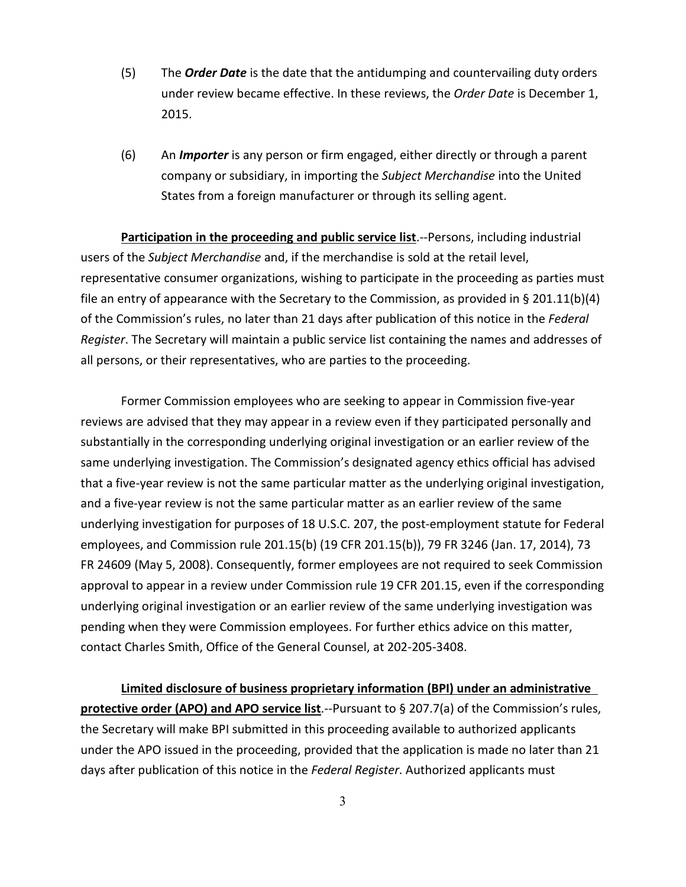- (5) The *Order Date* is the date that the antidumping and countervailing duty orders under review became effective. In these reviews, the *Order Date* is December 1, 2015.
- (6) An *Importer* is any person or firm engaged, either directly or through a parent company or subsidiary, in importing the *Subject Merchandise* into the United States from a foreign manufacturer or through its selling agent.

**Participation in the proceeding and public service list**.--Persons, including industrial users of the *Subject Merchandise* and, if the merchandise is sold at the retail level, representative consumer organizations, wishing to participate in the proceeding as parties must file an entry of appearance with the Secretary to the Commission, as provided in § 201.11(b)(4) of the Commission's rules, no later than 21 days after publication of this notice in the *Federal Register*. The Secretary will maintain a public service list containing the names and addresses of all persons, or their representatives, who are parties to the proceeding.

Former Commission employees who are seeking to appear in Commission five-year reviews are advised that they may appear in a review even if they participated personally and substantially in the corresponding underlying original investigation or an earlier review of the same underlying investigation. The Commission's designated agency ethics official has advised that a five-year review is not the same particular matter as the underlying original investigation, and a five-year review is not the same particular matter as an earlier review of the same underlying investigation for purposes of 18 U.S.C. 207, the post-employment statute for Federal employees, and Commission rule 201.15(b) (19 CFR 201.15(b)), 79 FR 3246 (Jan. 17, 2014), 73 FR 24609 (May 5, 2008). Consequently, former employees are not required to seek Commission approval to appear in a review under Commission rule 19 CFR 201.15, even if the corresponding underlying original investigation or an earlier review of the same underlying investigation was pending when they were Commission employees. For further ethics advice on this matter, contact Charles Smith, Office of the General Counsel, at 202-205-3408.

**Limited disclosure of business proprietary information (BPI) under an administrative protective order (APO) and APO service list**.--Pursuant to § 207.7(a) of the Commission's rules, the Secretary will make BPI submitted in this proceeding available to authorized applicants under the APO issued in the proceeding, provided that the application is made no later than 21 days after publication of this notice in the *Federal Register*. Authorized applicants must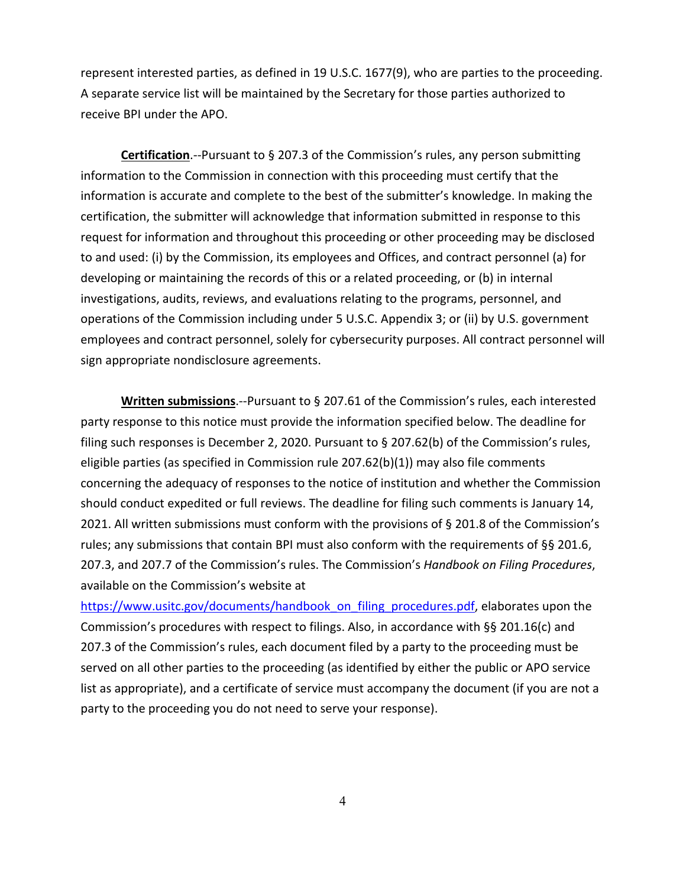represent interested parties, as defined in 19 U.S.C. 1677(9), who are parties to the proceeding. A separate service list will be maintained by the Secretary for those parties authorized to receive BPI under the APO.

**Certification**.--Pursuant to § 207.3 of the Commission's rules, any person submitting information to the Commission in connection with this proceeding must certify that the information is accurate and complete to the best of the submitter's knowledge. In making the certification, the submitter will acknowledge that information submitted in response to this request for information and throughout this proceeding or other proceeding may be disclosed to and used: (i) by the Commission, its employees and Offices, and contract personnel (a) for developing or maintaining the records of this or a related proceeding, or (b) in internal investigations, audits, reviews, and evaluations relating to the programs, personnel, and operations of the Commission including under 5 U.S.C. Appendix 3; or (ii) by U.S. government employees and contract personnel, solely for cybersecurity purposes. All contract personnel will sign appropriate nondisclosure agreements.

**Written submissions**.--Pursuant to § 207.61 of the Commission's rules, each interested party response to this notice must provide the information specified below. The deadline for filing such responses is December 2, 2020. Pursuant to § 207.62(b) of the Commission's rules, eligible parties (as specified in Commission rule 207.62(b)(1)) may also file comments concerning the adequacy of responses to the notice of institution and whether the Commission should conduct expedited or full reviews. The deadline for filing such comments is January 14, 2021. All written submissions must conform with the provisions of § 201.8 of the Commission's rules; any submissions that contain BPI must also conform with the requirements of §§ 201.6, 207.3, and 207.7 of the Commission's rules. The Commission's *Handbook on Filing Procedures*, available on the Commission's website at

[https://www.usitc.gov/documents/handbook\\_on\\_filing\\_procedures.pdf,](https://www.usitc.gov/documents/handbook_on_filing_procedures.pdf) elaborates upon the Commission's procedures with respect to filings. Also, in accordance with §§ 201.16(c) and 207.3 of the Commission's rules, each document filed by a party to the proceeding must be served on all other parties to the proceeding (as identified by either the public or APO service list as appropriate), and a certificate of service must accompany the document (if you are not a party to the proceeding you do not need to serve your response).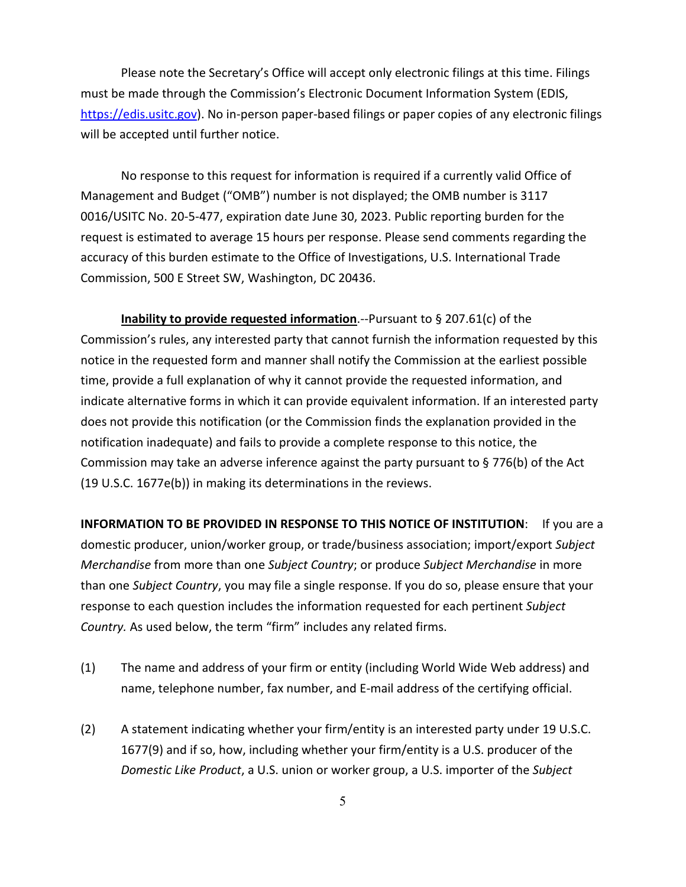Please note the Secretary's Office will accept only electronic filings at this time. Filings must be made through the Commission's Electronic Document Information System (EDIS, [https://edis.usitc.gov\)](https://edis.usitc.gov/). No in-person paper-based filings or paper copies of any electronic filings will be accepted until further notice.

No response to this request for information is required if a currently valid Office of Management and Budget ("OMB") number is not displayed; the OMB number is 3117 0016/USITC No. 20-5-477, expiration date June 30, 2023. Public reporting burden for the request is estimated to average 15 hours per response. Please send comments regarding the accuracy of this burden estimate to the Office of Investigations, U.S. International Trade Commission, 500 E Street SW, Washington, DC 20436.

**Inability to provide requested information**.--Pursuant to § 207.61(c) of the Commission's rules, any interested party that cannot furnish the information requested by this notice in the requested form and manner shall notify the Commission at the earliest possible time, provide a full explanation of why it cannot provide the requested information, and indicate alternative forms in which it can provide equivalent information. If an interested party does not provide this notification (or the Commission finds the explanation provided in the notification inadequate) and fails to provide a complete response to this notice, the Commission may take an adverse inference against the party pursuant to § 776(b) of the Act (19 U.S.C. 1677e(b)) in making its determinations in the reviews.

**INFORMATION TO BE PROVIDED IN RESPONSE TO THIS NOTICE OF INSTITUTION**: If you are a domestic producer, union/worker group, or trade/business association; import/export *Subject Merchandise* from more than one *Subject Country*; or produce *Subject Merchandise* in more than one *Subject Country*, you may file a single response. If you do so, please ensure that your response to each question includes the information requested for each pertinent *Subject Country.* As used below, the term "firm" includes any related firms.

- (1) The name and address of your firm or entity (including World Wide Web address) and name, telephone number, fax number, and E-mail address of the certifying official.
- (2) A statement indicating whether your firm/entity is an interested party under 19 U.S.C. 1677(9) and if so, how, including whether your firm/entity is a U.S. producer of the *Domestic Like Product*, a U.S. union or worker group, a U.S. importer of the *Subject*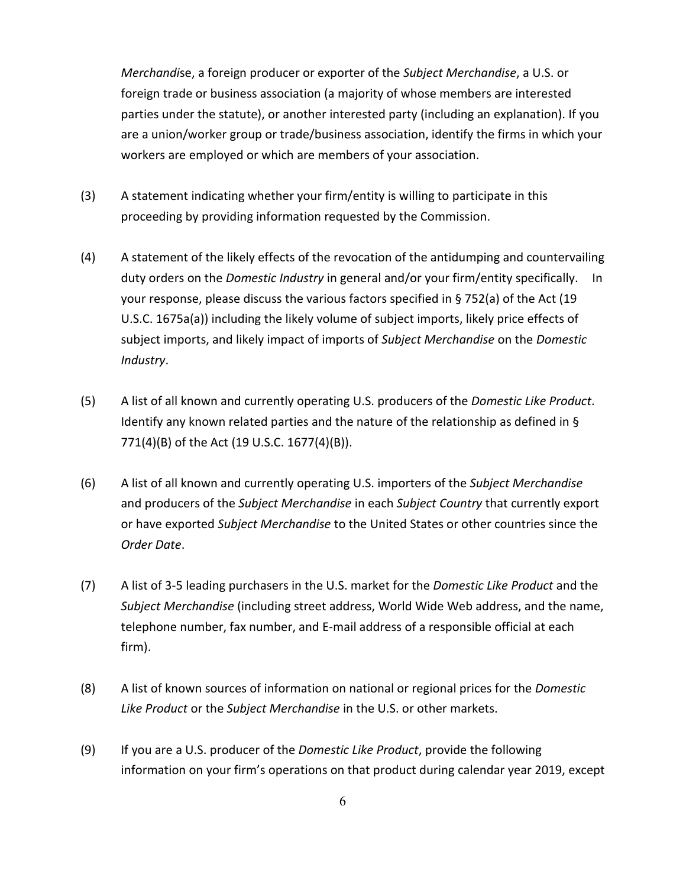*Merchandi*se, a foreign producer or exporter of the *Subject Merchandise*, a U.S. or foreign trade or business association (a majority of whose members are interested parties under the statute), or another interested party (including an explanation). If you are a union/worker group or trade/business association, identify the firms in which your workers are employed or which are members of your association.

- (3) A statement indicating whether your firm/entity is willing to participate in this proceeding by providing information requested by the Commission.
- (4) A statement of the likely effects of the revocation of the antidumping and countervailing duty orders on the *Domestic Industry* in general and/or your firm/entity specifically. In your response, please discuss the various factors specified in § 752(a) of the Act (19 U.S.C. 1675a(a)) including the likely volume of subject imports, likely price effects of subject imports, and likely impact of imports of *Subject Merchandise* on the *Domestic Industry*.
- (5) A list of all known and currently operating U.S. producers of the *Domestic Like Product*. Identify any known related parties and the nature of the relationship as defined in § 771(4)(B) of the Act (19 U.S.C. 1677(4)(B)).
- (6) A list of all known and currently operating U.S. importers of the *Subject Merchandise* and producers of the *Subject Merchandise* in each *Subject Country* that currently export or have exported *Subject Merchandise* to the United States or other countries since the *Order Date*.
- (7) A list of 3-5 leading purchasers in the U.S. market for the *Domestic Like Product* and the *Subject Merchandise* (including street address, World Wide Web address, and the name, telephone number, fax number, and E-mail address of a responsible official at each firm).
- (8) A list of known sources of information on national or regional prices for the *Domestic Like Product* or the *Subject Merchandise* in the U.S. or other markets.
- (9) If you are a U.S. producer of the *Domestic Like Product*, provide the following information on your firm's operations on that product during calendar year 2019, except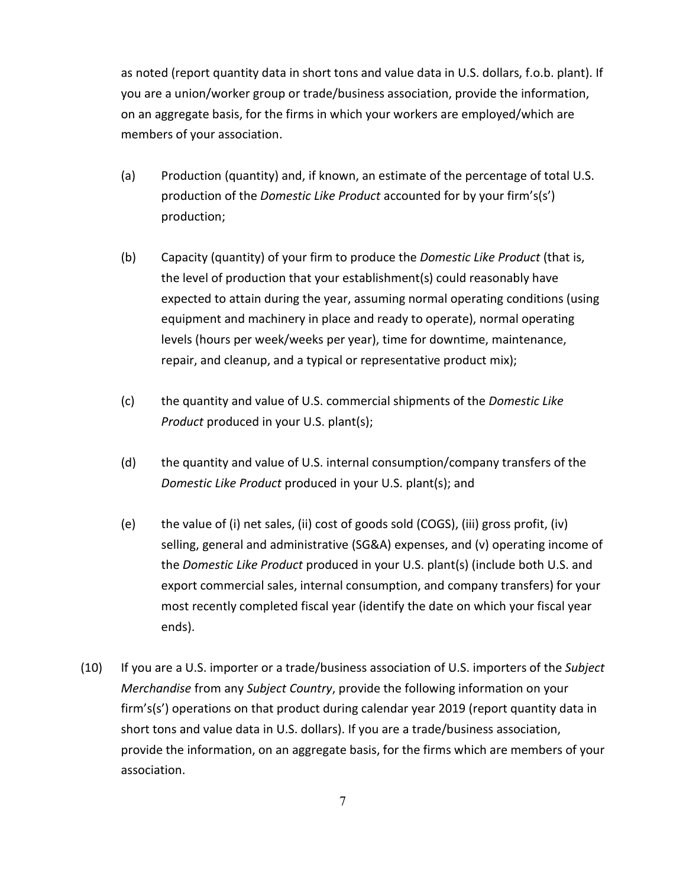as noted (report quantity data in short tons and value data in U.S. dollars, f.o.b. plant). If you are a union/worker group or trade/business association, provide the information, on an aggregate basis, for the firms in which your workers are employed/which are members of your association.

- (a) Production (quantity) and, if known, an estimate of the percentage of total U.S. production of the *Domestic Like Product* accounted for by your firm's(s') production;
- (b) Capacity (quantity) of your firm to produce the *Domestic Like Product* (that is, the level of production that your establishment(s) could reasonably have expected to attain during the year, assuming normal operating conditions (using equipment and machinery in place and ready to operate), normal operating levels (hours per week/weeks per year), time for downtime, maintenance, repair, and cleanup, and a typical or representative product mix);
- (c) the quantity and value of U.S. commercial shipments of the *Domestic Like Product* produced in your U.S. plant(s);
- (d) the quantity and value of U.S. internal consumption/company transfers of the *Domestic Like Product* produced in your U.S. plant(s); and
- (e) the value of (i) net sales, (ii) cost of goods sold (COGS), (iii) gross profit, (iv) selling, general and administrative (SG&A) expenses, and (v) operating income of the *Domestic Like Product* produced in your U.S. plant(s) (include both U.S. and export commercial sales, internal consumption, and company transfers) for your most recently completed fiscal year (identify the date on which your fiscal year ends).
- (10) If you are a U.S. importer or a trade/business association of U.S. importers of the *Subject Merchandise* from any *Subject Country*, provide the following information on your firm's(s') operations on that product during calendar year 2019 (report quantity data in short tons and value data in U.S. dollars). If you are a trade/business association, provide the information, on an aggregate basis, for the firms which are members of your association.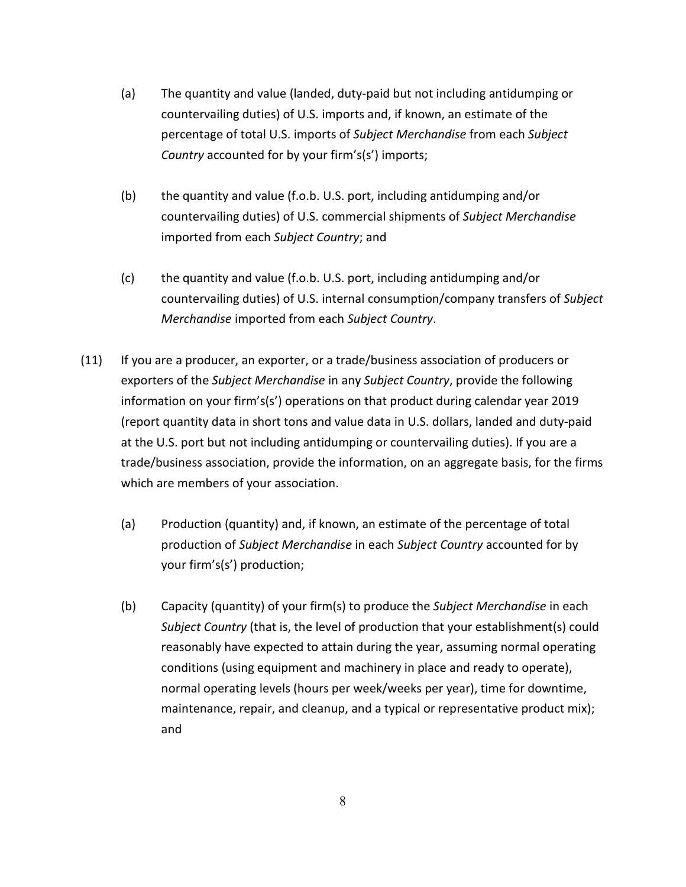- (a) The quantity and value (landed, duty-paid but not including antidumping or countervailing duties) of U.S. imports and, if known, an estimate of the percentage of total U.S. imports of *Subject Merchandise* from each *Subject Country* accounted for by your firm's(s') imports;
- (b) the quantity and value (f.o.b. U.S. port, including antidumping and/or countervailing duties) of U.S. commercial shipments of *Subject Merchandise* imported from each *Subject Country*; and
- (c) the quantity and value (f.o.b. U.S. port, including antidumping and/or countervailing duties) of U.S. internal consumption/company transfers of *Subject Merchandise* imported from each *Subject Country*.
- (11) If you are a producer, an exporter, or a trade/business association of producers or exporters of the *Subject Merchandise* in any *Subject Country*, provide the following information on your firm's(s') operations on that product during calendar year 2019 (report quantity data in short tons and value data in U.S. dollars, landed and duty-paid at the U.S. port but not including antidumping or countervailing duties). If you are a trade/business association, provide the information, on an aggregate basis, for the firms which are members of your association.
	- (a) Production (quantity) and, if known, an estimate of the percentage of total production of *Subject Merchandise* in each *Subject Country* accounted for by your firm's(s') production;
	- (b) Capacity (quantity) of your firm(s) to produce the *Subject Merchandise* in each *Subject Country* (that is, the level of production that your establishment(s) could reasonably have expected to attain during the year, assuming normal operating conditions (using equipment and machinery in place and ready to operate), normal operating levels (hours per week/weeks per year), time for downtime, maintenance, repair, and cleanup, and a typical or representative product mix); and